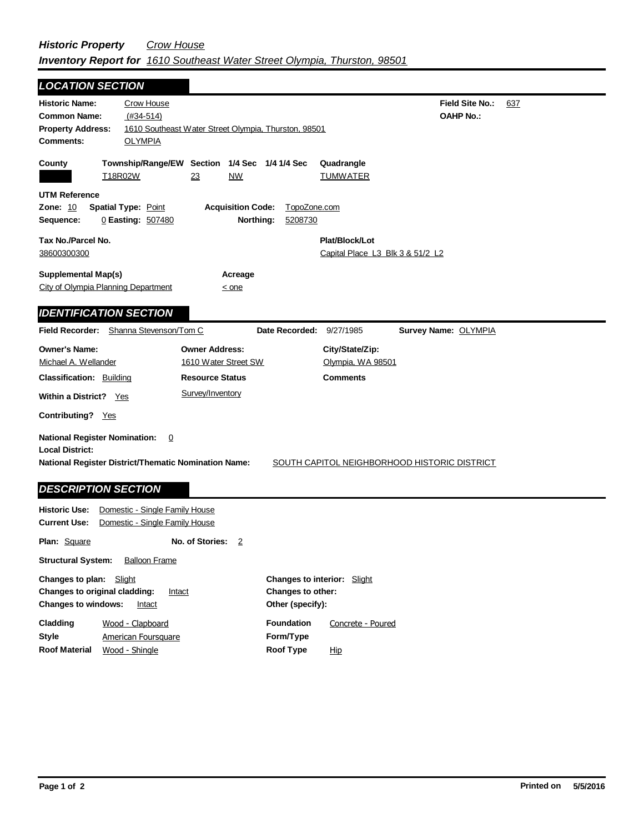| <b>LOCATION SECTION</b>                                           |                                                      |                                                  |
|-------------------------------------------------------------------|------------------------------------------------------|--------------------------------------------------|
| <b>Historic Name:</b><br>Crow House                               |                                                      | <b>Field Site No.:</b><br>637                    |
| <b>Common Name:</b><br>$(#34-514)$                                |                                                      | <b>OAHP No.:</b>                                 |
| <b>Property Address:</b>                                          | 1610 Southeast Water Street Olympia, Thurston, 98501 |                                                  |
| <b>Comments:</b><br><b>OLYMPIA</b>                                |                                                      |                                                  |
|                                                                   | Township/Range/EW Section 1/4 Sec 1/4 1/4 Sec        |                                                  |
| County<br>T18R02W                                                 | 23<br>NW                                             | Quadrangle<br><u>TUMWATER</u>                    |
|                                                                   |                                                      |                                                  |
| <b>UTM Reference</b>                                              |                                                      |                                                  |
| <b>Zone: 10</b><br><b>Spatial Type: Point</b>                     | <b>Acquisition Code:</b>                             | TopoZone.com                                     |
| 0 Easting: 507480<br>Sequence:                                    | Northing:<br>5208730                                 |                                                  |
| Tax No./Parcel No.                                                |                                                      | Plat/Block/Lot                                   |
| 38600300300                                                       |                                                      | Capital Place L3 Blk 3 & 51/2 L2                 |
|                                                                   |                                                      |                                                  |
| <b>Supplemental Map(s)</b><br>City of Olympia Planning Department | Acreage                                              |                                                  |
|                                                                   | $\leq$ one                                           |                                                  |
| <b>IDENTIFICATION SECTION</b>                                     |                                                      |                                                  |
| Field Recorder: Shanna Stevenson/Tom C                            |                                                      | Date Recorded: 9/27/1985<br>Survey Name: OLYMPIA |
|                                                                   |                                                      |                                                  |
|                                                                   |                                                      |                                                  |
| <b>Owner's Name:</b>                                              | <b>Owner Address:</b>                                | City/State/Zip:                                  |
| Michael A. Wellander                                              | 1610 Water Street SW                                 | Olympia, WA 98501                                |
| <b>Classification: Building</b>                                   | <b>Resource Status</b>                               | <b>Comments</b>                                  |
| Within a District? Yes                                            | Survey/Inventory                                     |                                                  |
|                                                                   |                                                      |                                                  |
| Contributing? Yes                                                 |                                                      |                                                  |
| <b>National Register Nomination:</b>                              | 0                                                    |                                                  |
| <b>Local District:</b>                                            |                                                      |                                                  |
| <b>National Register District/Thematic Nomination Name:</b>       |                                                      | SOUTH CAPITOL NEIGHBORHOOD HISTORIC DISTRICT     |
|                                                                   |                                                      |                                                  |
| <b>DESCRIPTION SECTION</b>                                        |                                                      |                                                  |
| <b>Historic Use:</b><br>Domestic - Single Family House            |                                                      |                                                  |
| <b>Current Use:</b><br>Domestic - Single Family House             |                                                      |                                                  |

**Other (specify): Style Changes to plan:** Slight **Changes to original cladding: Intact Changes to windows:** Intact **Changes to interior:** Slight **Changes to other: Cladding Roof Material Foundation Form/Type Roof Type** American Foursquare Wood - Clapboard Wood - Shingle Concrete - Poured Hip

**Structural System:** Balloon Frame